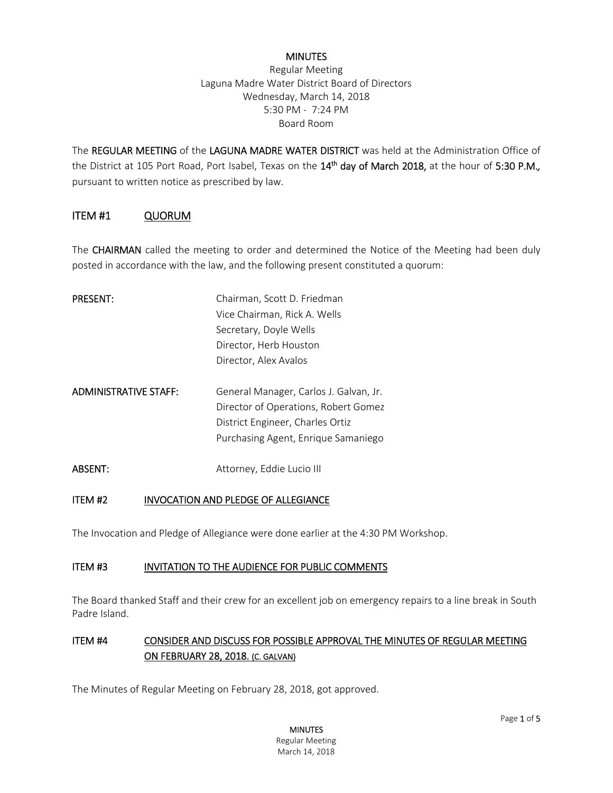#### **MINUTES**

Regular Meeting Laguna Madre Water District Board of Directors Wednesday, March 14, 2018 5:30 PM - 7:24 PM Board Room

The REGULAR MEETING of the LAGUNA MADRE WATER DISTRICT was held at the Administration Office of the District at 105 Port Road, Port Isabel, Texas on the 14<sup>th</sup> day of March 2018, at the hour of 5:30 P.M., pursuant to written notice as prescribed by law.

### ITEM #1 QUORUM

The **CHAIRMAN** called the meeting to order and determined the Notice of the Meeting had been duly posted in accordance with the law, and the following present constituted a quorum:

| <b>PRESENT:</b>              | Chairman, Scott D. Friedman                                                                                                                               |
|------------------------------|-----------------------------------------------------------------------------------------------------------------------------------------------------------|
|                              | Vice Chairman, Rick A. Wells                                                                                                                              |
|                              | Secretary, Doyle Wells                                                                                                                                    |
|                              | Director, Herb Houston                                                                                                                                    |
|                              | Director, Alex Avalos                                                                                                                                     |
| <b>ADMINISTRATIVE STAFF:</b> | General Manager, Carlos J. Galvan, Jr.<br>Director of Operations, Robert Gomez<br>District Engineer, Charles Ortiz<br>Purchasing Agent, Enrique Samaniego |
| <b>ABSENT:</b>               | Attorney, Eddie Lucio III                                                                                                                                 |

#### ITEM #2 INVOCATION AND PLEDGE OF ALLEGIANCE

The Invocation and Pledge of Allegiance were done earlier at the 4:30 PM Workshop.

#### ITEM #3 INVITATION TO THE AUDIENCE FOR PUBLIC COMMENTS

The Board thanked Staff and their crew for an excellent job on emergency repairs to a line break in South Padre Island.

### ITEM #4 CONSIDER AND DISCUSS FOR POSSIBLE APPROVAL THE MINUTES OF REGULAR MEETING ON FEBRUARY 28, 2018. (C. GALVAN)

The Minutes of Regular Meeting on February 28, 2018, got approved.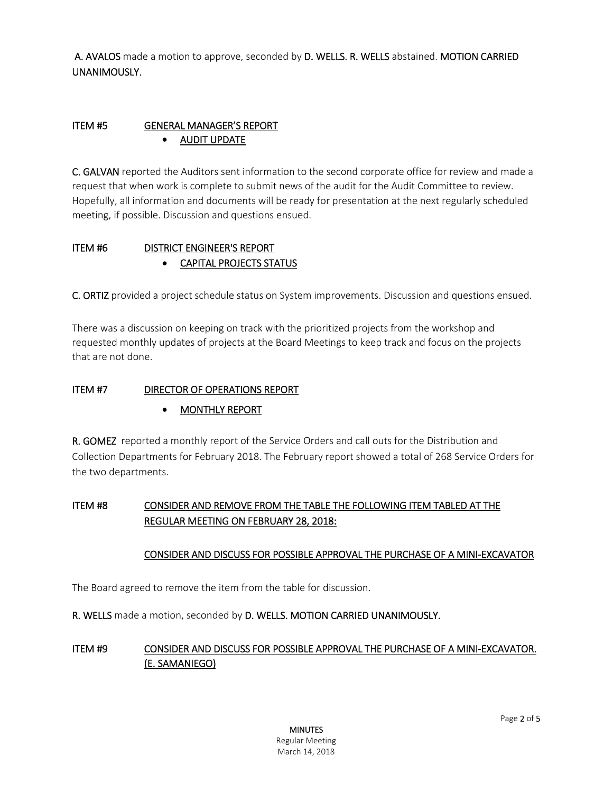A. AVALOS made a motion to approve, seconded by D. WELLS. R. WELLS abstained. MOTION CARRIED UNANIMOUSLY.

### ITEM #5 GENERAL MANAGER'S REPORT AUDIT UPDATE

C. GALVAN reported the Auditors sent information to the second corporate office for review and made a request that when work is complete to submit news of the audit for the Audit Committee to review. Hopefully, all information and documents will be ready for presentation at the next regularly scheduled meeting, if possible. Discussion and questions ensued.

## ITEM #6 DISTRICT ENGINEER'S REPORT CAPITAL PROJECTS STATUS

C. ORTIZ provided a project schedule status on System improvements. Discussion and questions ensued.

There was a discussion on keeping on track with the prioritized projects from the workshop and requested monthly updates of projects at the Board Meetings to keep track and focus on the projects that are not done.

### ITEM #7 DIRECTOR OF OPERATIONS REPORT

### • MONTHLY REPORT

R. GOMEZ reported a monthly report of the Service Orders and call outs for the Distribution and Collection Departments for February 2018. The February report showed a total of 268 Service Orders for the two departments.

### ITEM #8 CONSIDER AND REMOVE FROM THE TABLE THE FOLLOWING ITEM TABLED AT THE REGULAR MEETING ON FEBRUARY 28, 2018:

### CONSIDER AND DISCUSS FOR POSSIBLE APPROVAL THE PURCHASE OF A MINI-EXCAVATOR

The Board agreed to remove the item from the table for discussion.

R. WELLS made a motion, seconded by D. WELLS. MOTION CARRIED UNANIMOUSLY.

### ITEM #9 CONSIDER AND DISCUSS FOR POSSIBLE APPROVAL THE PURCHASE OF A MINI-EXCAVATOR. (E. SAMANIEGO)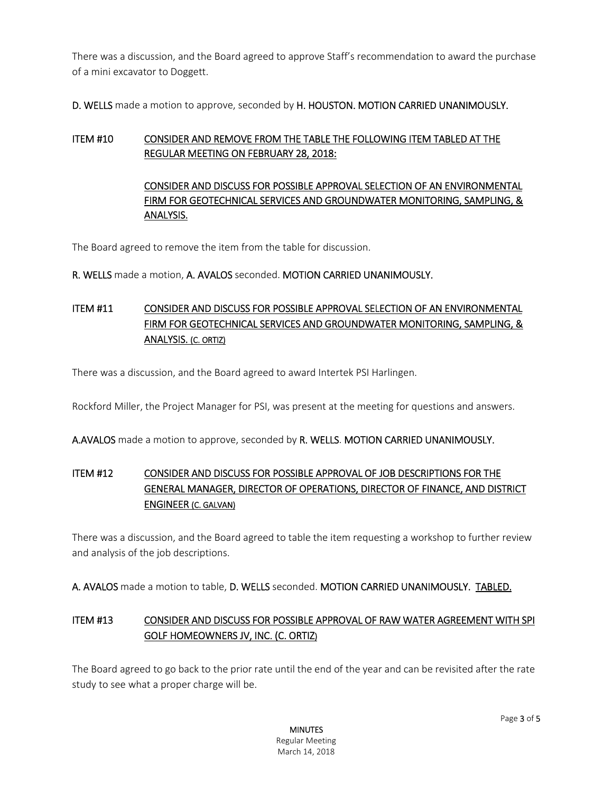There was a discussion, and the Board agreed to approve Staff's recommendation to award the purchase of a mini excavator to Doggett.

D. WELLS made a motion to approve, seconded by H. HOUSTON. MOTION CARRIED UNANIMOUSLY.

### ITEM #10 CONSIDER AND REMOVE FROM THE TABLE THE FOLLOWING ITEM TABLED AT THE REGULAR MEETING ON FEBRUARY 28, 2018:

## CONSIDER AND DISCUSS FOR POSSIBLE APPROVAL SELECTION OF AN ENVIRONMENTAL FIRM FOR GEOTECHNICAL SERVICES AND GROUNDWATER MONITORING, SAMPLING, & ANALYSIS.

The Board agreed to remove the item from the table for discussion.

### R. WELLS made a motion, A. AVALOS seconded. MOTION CARRIED UNANIMOUSLY.

# ITEM #11 CONSIDER AND DISCUSS FOR POSSIBLE APPROVAL SELECTION OF AN ENVIRONMENTAL FIRM FOR GEOTECHNICAL SERVICES AND GROUNDWATER MONITORING, SAMPLING, & ANALYSIS. (C. ORTIZ)

There was a discussion, and the Board agreed to award Intertek PSI Harlingen.

Rockford Miller, the Project Manager for PSI, was present at the meeting for questions and answers.

A.AVALOS made a motion to approve, seconded by R. WELLS. MOTION CARRIED UNANIMOUSLY.

# ITEM #12 CONSIDER AND DISCUSS FOR POSSIBLE APPROVAL OF JOB DESCRIPTIONS FOR THE GENERAL MANAGER, DIRECTOR OF OPERATIONS, DIRECTOR OF FINANCE, AND DISTRICT ENGINEER (C. GALVAN)

There was a discussion, and the Board agreed to table the item requesting a workshop to further review and analysis of the job descriptions.

A. AVALOS made a motion to table, D. WELLS seconded. MOTION CARRIED UNANIMOUSLY. TABLED.

# ITEM #13 CONSIDER AND DISCUSS FOR POSSIBLE APPROVAL OF RAW WATER AGREEMENT WITH SPI GOLF HOMEOWNERS JV, INC. (C. ORTIZ)

The Board agreed to go back to the prior rate until the end of the year and can be revisited after the rate study to see what a proper charge will be.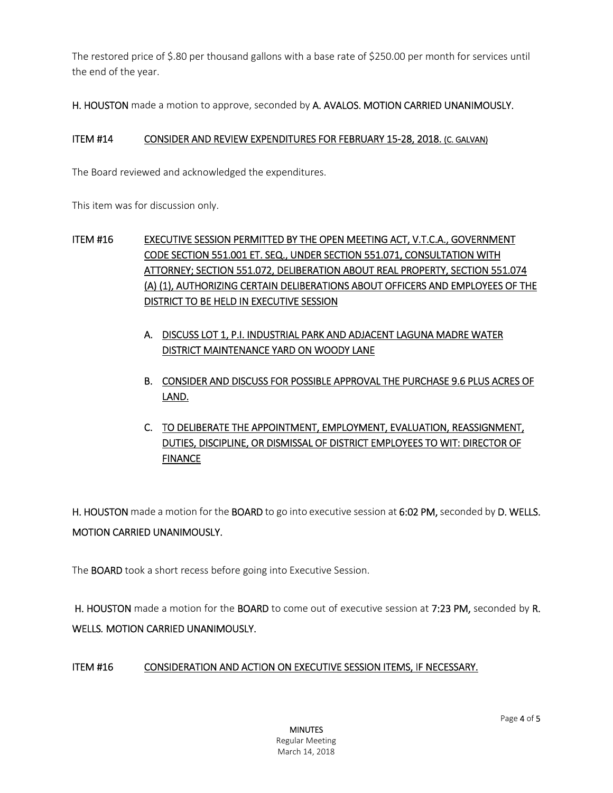The restored price of \$.80 per thousand gallons with a base rate of \$250.00 per month for services until the end of the year.

H. HOUSTON made a motion to approve, seconded by A. AVALOS. MOTION CARRIED UNANIMOUSLY.

#### ITEM #14 CONSIDER AND REVIEW EXPENDITURES FOR FEBRUARY 15-28, 2018. (C. GALVAN)

The Board reviewed and acknowledged the expenditures.

This item was for discussion only.

# ITEM #16 EXECUTIVE SESSION PERMITTED BY THE OPEN MEETING ACT, V.T.C.A., GOVERNMENT CODE SECTION 551.001 ET. SEQ., UNDER SECTION 551.071, CONSULTATION WITH ATTORNEY; SECTION 551.072, DELIBERATION ABOUT REAL PROPERTY, SECTION 551.074 (A) (1), AUTHORIZING CERTAIN DELIBERATIONS ABOUT OFFICERS AND EMPLOYEES OF THE DISTRICT TO BE HELD IN EXECUTIVE SESSION

- A. DISCUSS LOT 1, P.I. INDUSTRIAL PARK AND ADJACENT LAGUNA MADRE WATER DISTRICT MAINTENANCE YARD ON WOODY LANE
- B. CONSIDER AND DISCUSS FOR POSSIBLE APPROVAL THE PURCHASE 9.6 PLUS ACRES OF LAND.
- C. TO DELIBERATE THE APPOINTMENT, EMPLOYMENT, EVALUATION, REASSIGNMENT, DUTIES, DISCIPLINE, OR DISMISSAL OF DISTRICT EMPLOYEES TO WIT: DIRECTOR OF **FINANCE**

H. HOUSTON made a motion for the BOARD to go into executive session at 6:02 PM, seconded by D. WELLS. MOTION CARRIED UNANIMOUSLY.

The BOARD took a short recess before going into Executive Session.

H. HOUSTON made a motion for the BOARD to come out of executive session at 7:23 PM, seconded by R. WELLS*.* MOTION CARRIED UNANIMOUSLY.

### ITEM #16 CONSIDERATION AND ACTION ON EXECUTIVE SESSION ITEMS, IF NECESSARY.